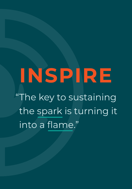# INSPIRE

"The key to sustaining the spark is turning it into a flame."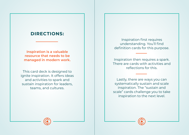## **DIRECTIONS:**

**Inspiration is a valuable resource that needs to be managed in modern work.** 

This card deck is designed to ignite inspiration. It offers ideas and activities to spark and sustain inspiration for leaders, teams, and cultures.

Inspiration first requires understanding. You'll find definition cards for this purpose.

Inspiration then requires a spark. There are cards with activities and reflections for this.

Lastly, there are ways you can systematically sustain and scale inspiration. The "sustain and scale" cards challenge you to take inspiration to the next level.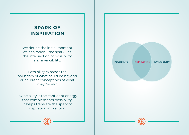## **SPARK OF INSPIRATION**

We define the initial moment of inspiration - the spark - as the intersection of possibility and invincibility.

Possibility expands the boundary of what could be beyond our current conceptions of what may "work."

Invincibility is the confident energy that complements possibility. It helps translate the spark of inspiration into action.

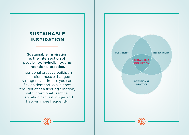## **SUSTAINABLE INSPIRATION**

## **Sustainable Inspiration is the intersection of possibility, invincibility, and intentional practice.**

Intentional practice builds an inspiration muscle that gets stronger over time so you can flex on demand. While once thought of as a fleeting emotion, with intentional practice, inspiration can last longer and happen more frequently.

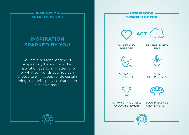## **INSPIRATION SPARKED BY YOU SEE AND VALUES AND**

You are a personal engine of inspiration, the source of the inspiration spark, no matter who or what surrounds you. You can choose to think about or do certain things that will spark inspiration on a reliable basis.

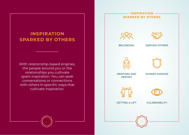With relationship-based engines, the people around you or the relationships you cultivate spark inspiration. You can seek conversations or connections with others in specific ways that cultivate inspiration.

# **INSPIRATION SPARKED BY OTHERS OQC** BELONGING SERVING OTHERS MENTORS AND SHARED MISSION **HEROES** GETTING A LIFT VULNERABILITY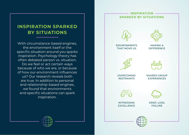With circumstance-based engines, the environment itself or the specific situation around you sparks inspiration. Psychology theory has often debated person vs. situation. Do we feel or act certain ways because of who we are, or because of how our environment influences us? Our research reveals both are true. In addition to personal and relationship-based engines, we found that environments and specific situations can spark inspiration.



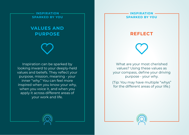## **VALUES AND PURPOSE**

Inspiration can be sparked by looking inward to your deeply-held values and beliefs. They reflect your purpose, mission, meaning - your inner "why." You can feel more inspired when you know your why, when you voice it, and when you apply it across different areas of your work and life.

#### **INSPIRATION SPARKED BY YOU**

## **REFLECT**

What are your most cherished values? Using these values as your compass, define your driving purpose - your why.

(Tip: You may have multiple "whys" for the different areas of your life.)



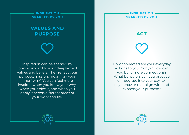## **VALUES AND PURPOSE**

Inspiration can be sparked by looking inward to your deeply-held values and beliefs. They reflect your purpose, mission, meaning - your inner "why." You can feel more inspired when you know your why, when you voice it, and when you apply it across different areas of your work and life.

### **INSPIRATION SPARKED BY YOU**

**ACT**

How connected are your everyday actions to your "why?" How can you build more connections? What behaviors can you practice or integrate into your day-today behavior that align with and express your purpose?



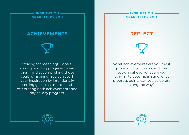## **ACHIEVEMENTS**

Striving for meaningful goals, making ongoing progress toward them, and accomplishing those goals is inspiring! You can spark your inspiration by intentionally setting goals that matter and celebrating both achievements and day-to-day progress.

#### **INSPIRATION SPARKED BY YOU**

## **REFLECT**

What achievements are you most proud of in your work and life? Looking ahead, what are you striving to accomplish and what progress points can you celebrate along the way?



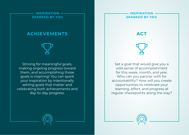## **ACHIEVEMENTS**

Striving for meaningful goals, making ongoing progress toward them, and accomplishing those goals is inspiring! You can spark your inspiration by intentionally setting goals that matter and celebrating both achievements and day-to-day progress.

#### **INSPIRATION SPARKED BY YOU**

**ACT**

Set a goal that would give you a wild sense of accomplishment for this week, month, and year. Who can you partner with for accountability? How will you create opportunities to celebrate your learning, effort, and progress at regular checkpoints along the way?



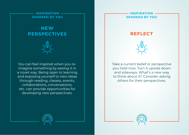## **NEW PERSPECTIVES**

You can feel inspired when you reimagine something by seeing it in a novel way. Being open to learning and exposing yourself to new ideas through reading, classes, events, collaborations, conversations, etc. can provide opportunities for developing new perspectives.

#### **INSPIRATION SPARKED BY YOU**





Take a current belief or perspective you hold now. Turn it upside down and sideways. What's a new way to think about it? Consider asking others for their perspectives.



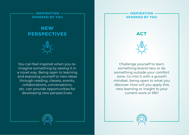## **NEW PERSPECTIVES**

You can feel inspired when you reimagine something by seeing it in a novel way. Being open to learning and exposing yourself to new ideas through reading, classes, events, collaborations, conversations, etc. can provide opportunities for developing new perspectives.

### **INSPIRATION SPARKED BY YOU**

**ACT**



Challenge yourself to learn something brand new or do something outside your comfort zone. Go into it with a growth mindset, being open to what you discover. How will you apply this new learning or insight to your current work or life?



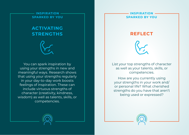## **ACTIVATING STRENGTHS**



You can spark inspiration by using your strengths in new and meaningful ways. Research shows that using your strengths regularly in your day-to-day work boosts feelings of inspiration. These can include virtuous strengths of character (creativity, kindness, wisdom) as well as talents, skills, or competencies.

#### **INSPIRATION SPARKED BY YOU**

## **REFLECT**



List your top strengths of character as well as your talents, skills, or competencies.

How are you currently using your strengths in your work and/ or personal life? What cherished strengths do you have that aren't being used or expressed?



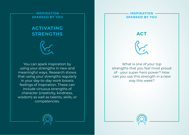## **ACTIVATING STRENGTHS**



You can spark inspiration by using your strengths in new and meaningful ways. Research shows that using your strengths regularly in your day-to-day work boosts feelings of inspiration. These can include virtuous strengths of character (creativity, kindness, wisdom) as well as talents, skills, or competencies.

#### **INSPIRATION SPARKED BY YOU**

**ACT**



What is one of your top strengths that you feel most proud of - your super-hero power? How can you use this strength in a new way this week?



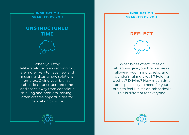## **UNSTRUCTURED TIME**



When you stop deliberately problem-solving, you are more likely to have new and inspiring ideas where solutions emerge. Giving your brain a sabbatical - unstructured time and space away from conscious thinking and problem-solving often creates opportunities for inspiration to occur.

#### **INSPIRATION SPARKED BY YOU**

## **REFLECT**



What types of activities or situations give your brain a break, allowing your mind to relax and wander? Taking a walk? Folding clothes? Driving? How much time and space do you need for your brain to feel like it's on sabbatical? This is different for everyone.



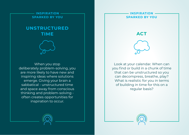## **UNSTRUCTURED TIME**



When you stop deliberately problem-solving, you are more likely to have new and inspiring ideas where solutions emerge. Giving your brain a sabbatical - unstructured time and space away from conscious thinking and problem-solving often creates opportunities for inspiration to occur.

#### **INSPIRATION SPARKED BY YOU**



**ACT**

Look at your calendar. When can you find or build in a chunk of time that can be unstructured so you can decompress, breathe, play? What is realistic for you in terms of building in time for this on a regular basis?



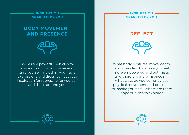## **BODY MOVEMENT AND PRESENCE**

Bodies are powerful vehicles for inspiration. How you move and carry yourself, including your facial expressions and dress, can activate inspiration (or repress it) for yourself and those around you.

#### **INSPIRATION SPARKED BY YOU**



What body postures, movements, and dress tend to make you feel more empowered and optimistic and therefore more inspired? In what ways do you currently use physical movement and presence to inspire yourself? Where are there opportunities to explore?



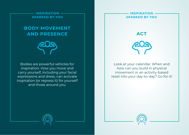## **BODY MOVEMENT AND PRESENCE**

Bodies are powerful vehicles for inspiration. How you move and carry yourself, including your facial expressions and dress, can activate inspiration (or repress it) for yourself and those around you.

#### **INSPIRATION SPARKED BY YOU**

**ACT**

Look at your calendar. When and how can you build in physical movement or an activity-based reset into your day-to-day? Go for it!



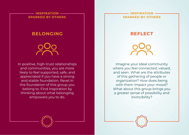## **BELONGING**

In positive, high-trust relationships and communities, you are more likely to feel supported, safe, and appreciated if you have a strong and stable foundation. Revel in the foundation of this group you belong to. Find inspiration by thinking about what belonging empowers you to do.

#### **INSPIRATION SPARKED BY OTHERS**

## **REFLECT**

Imagine your ideal community where you feel connected, valued, and seen. What are the attributes of this gathering of people or organization? How does being with them impact your mood? What about this group brings you a greater sense of possibility and invincibility?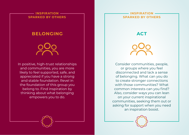## **BELONGING**

# In positive, high-trust relationships

and communities, you are more likely to feel supported, safe, and appreciated if you have a strong and stable foundation. Revel in the foundation of this group you belong to. Find inspiration by thinking about what belonging empowers you to do.

### **INSPIRATION SPARKED BY OTHERS**

**ACT**

Consider communities, people, or groups where you feel disconnected and lack a sense of belonging. What can you do to create stronger connections with those communities? What common interests can you find? Also, consider ways you can lean on your current inspirational communities, seeking them out or asking for support when you need an inspiration boost.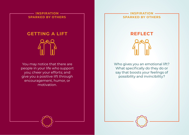# **GETTING A LIFT**

You may notice that there are people in your life who support you; cheer your efforts; and give you a positive lift through encouragement, humor, or motivation.

#### **INSPIRATION SPARKED BY OTHERS**



Who gives you an emotional lift? What specifically do they do or say that boosts your feelings of possibility and invincibility?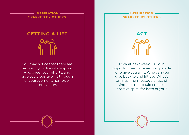# **GETTING A LIFT**

You may notice that there are people in your life who support you; cheer your efforts; and give you a positive lift through encouragement, humor, or motivation.

#### **INSPIRATION SPARKED BY OTHERS**



Look at next week. Build in opportunities to be around people who give you a lift. Who can you give back to and lift up? What's an inspiring message or act of kindness that could create a positive spiral for both of you?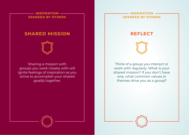## **SHARED MISSION**

Sharing a mission with groups you work closely with will ignite feelings of inspiration as you strive to accomplish your shared goal(s) together.

#### **INSPIRATION SPARKED BY OTHERS**



**REFLECT**

Think of a group you interact or work with regularly. What is your shared mission? If you don't have one, what common values or themes drive you as a group?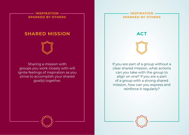## **SHARED MISSION**

Sharing a mission with groups you work closely with will ignite feelings of inspiration as you strive to accomplish your shared goal(s) together.

### **INSPIRATION SPARKED BY OTHERS**

**ACT**



If you are part of a group without a clear shared mission, what actions can you take with the group to align on one? If you are a part of a group with a strong shared mission, how can you express and reinforce it regularly?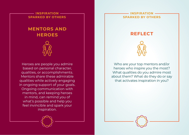## **MENTORS AND HEROES**

Heroes are people you admire based on personal character, qualities, or accomplishments. Mentors share these admirable qualities while actively engaging in ongoing support of your goals. Ongoing communication with mentors, and keeping heroes in mind, can remind you of what's possible and help you feel invincible and spark your inspiration.

#### **INSPIRATION SPARKED BY OTHERS**





Who are your top mentors and/or heroes who inspire you the most? What qualities do you admire most about them? What do they do or say that activates inspiration in you?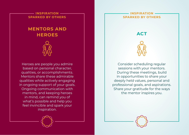## **MENTORS AND HEROES**

Heroes are people you admire based on personal character, qualities, or accomplishments. Mentors share these admirable qualities while actively engaging in ongoing support of your goals. Ongoing communication with mentors, and keeping heroes in mind, can remind you of what's possible and help you feel invincible and spark your inspiration.

#### **INSPIRATION SPARKED BY OTHERS**

**ACT**



Consider scheduling regular sessions with your mentors. During these meetings, build in opportunities to share your deeply held values, personal and professional goals, and aspirations. Share your gratitude for the ways the mentor inspires you.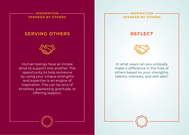## **SERVING OTHERS**



Human beings have an innate drive to support one another. The opportunity to help someone by using your unique strengths and expertise is an engine of inspiration. This can be acts of kindness, expressing gratitude, or offering support.

#### **INSPIRATION SPARKED BY OTHERS**

## **REFLECT**



In what ways can you uniquely make a difference in the lives of others based on your strengths, talents, interests, and skill sets?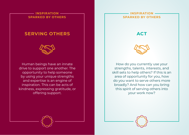## **SERVING OTHERS**



Human beings have an innate drive to support one another. The opportunity to help someone by using your unique strengths and expertise is an engine of inspiration. This can be acts of kindness, expressing gratitude, or offering support.

#### **INSPIRATION SPARKED BY OTHERS**

**ACT**



How do you currently use your strengths, talents, interests, and skill sets to help others? If this is an area of opportunity for you, how do you want to serve others more broadly? And how can you bring this spirit of serving others into your work now?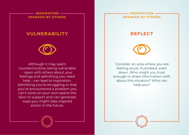## **VULNERABILITY**



Although it may seem counterintuitive, being vulnerable - open with others about your feelings and admitting you need help - can lead to inspiration. Admitting you're struggling or that you've encountered a problem you can't solve on your own opens the door to support and can generate ways you might take inspired action in the future.

#### **INSPIRATION SPARKED BY OTHERS**





 Consider an area where you are feeling stuck, frustrated, even down. Who might you trust enough to share information with about this situation? Who can help you?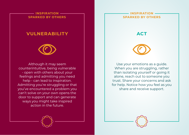## **VULNERABILITY**



Although it may seem counterintuitive, being vulnerable - open with others about your feelings and admitting you need help - can lead to inspiration. Admitting you're struggling or that you've encountered a problem you can't solve on your own opens the door to support and can generate ways you might take inspired action in the future.

#### **INSPIRATION SPARKED BY OTHERS**

**ACT**



Use your emotions as a guide. When you are struggling, rather than isolating yourself or going it alone, reach out to someone you trust. Share your concerns and ask for help. Notice how you feel as you share and receive support.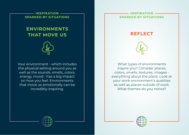## **ENVIRONMENTS THAT MOVE US**



Your environment - which includes the physical setting around you as well as the sounds, smells, colors, energy, mood - has a big impact on how you feel. Environments that move us emotionally can be incredibly inspiring.

#### **INSPIRATION SPARKED BY SITUATIONS**





What types of environments inspire you? Consider places, colors, smells, textures, images everything about the place. Look at your work environment's qualities as well as places outside of work. What themes do you notice?



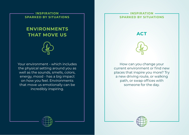## **ENVIRONMENTS THAT MOVE US**



Your environment - which includes the physical setting around you as well as the sounds, smells, colors, energy, mood - has a big impact on how you feel. Environments that move us emotionally can be incredibly inspiring.

#### **INSPIRATION SPARKED BY SITUATIONS**

**ACT**



How can you change your current environment or find new places that inspire you more? Try a new driving route, or walking path, or swap offices with someone for the day.



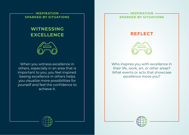## **WITNESSING EXCELLENCE**



When you witness excellence in others, especially in an area that is important to you, you feel inspired. Seeing excellence in others helps you visualize more possibilities for yourself and feel the confidence to achieve it.

#### **INSPIRATION SPARKED BY SITUATIONS**





Who inspires you with excellence in their life, work, art, or other areas? What events or acts that showcase excellence move you?



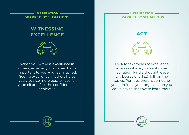## **WITNESSING EXCELLENCE**



When you witness excellence in others, especially in an area that is important to you, you feel inspired. Seeing excellence in others helps you visualize more possibilities for yourself and feel the confidence to achieve it.

#### **INSPIRATION SPARKED BY SITUATIONS**

**ACT**



Look for examples of excellence in areas where you want more inspiration. Find a thought leader to observe or a TED Talk on the topics. Perhaps there is someone you admire in your organization you could ask to shadow to learn more.



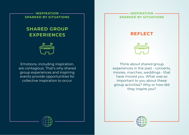## **SHARED GROUP EXPERIENCES**



Emotions, including inspiration, are contagious. That's why shared group experiences and inspiring events provide opportunities for collective inspiration to occur.

#### **INSPIRATION SPARKED BY SITUATIONS**





Think about shared group experiences in the past - concerts, movies, marches, weddings - that have moved you. What was so important to you about these group activities? Why or how did they inspire you?



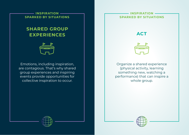## **SHARED GROUP EXPERIENCES**



Emotions, including inspiration, are contagious. That's why shared group experiences and inspiring events provide opportunities for collective inspiration to occur.

#### **INSPIRATION SPARKED BY SITUATIONS**





Organize a shared experience (physical activity, learning something new, watching a performance) that can inspire a whole group.



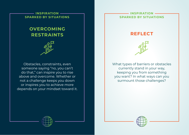## **OVERCOMING RESTRAINTS**

Obstacles, constraints, even someone saying "no, you can't do that," can inspire you to rise above and overcome. Whether or not a challenge keeps you down or inspires you to achieve more depends on your mindset toward it.

#### **INSPIRATION SPARKED BY SITUATIONS**

## **REFLECT**



What types of barriers or obstacles currently stand in your way, keeping you from something you want? In what ways can you surmount those challenges?



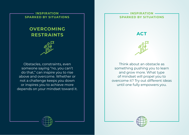## **OVERCOMING RESTRAINTS**

Obstacles, constraints, even someone saying "no, you can't do that," can inspire you to rise above and overcome. Whether or not a challenge keeps you down or inspires you to achieve more depends on your mindset toward it.

#### **INSPIRATION SPARKED BY SITUATIONS**

**ACT**



Think about an obstacle as something pushing you to learn and grow more. What type of mindset will propel you to overcome it? Try out different ideas until one fully empowers you.



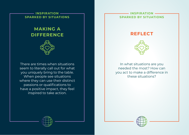## **MAKING A DIFFERENCE**

There are times when situations seem to literally call out for what you uniquely bring to the table. When people see situations where they can use their distinct passions or qualifications to have a positive impact, they feel inspired to take action.

#### **INSPIRATION SPARKED BY SITUATIONS**





In what situations are you needed the most? How can you act to make a difference in these situations?



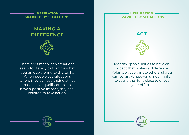## **MAKING A DIFFERENCE**

There are times when situations seem to literally call out for what you uniquely bring to the table. When people see situations where they can use their distinct passions or qualifications to have a positive impact, they feel inspired to take action.

#### **INSPIRATION SPARKED BY SITUATIONS**

**ACT**



Identify opportunities to have an impact that makes a difference. Volunteer, coordinate others, start a campaign. Whatever is meaningful to you is the right place to direct your efforts.



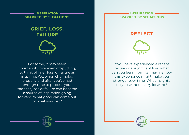## **GRIEF, LOSS, FAILURE**

For some, it may seem counterintuitive, even off-putting, to think of grief, loss, or failure as inspiring. Yet, when channeled properly and after you've had enough time to process your sadness, loss or failure can become a source of inspiration going forward. What good can come out of what was lost?

#### **INSPIRATION SPARKED BY SITUATIONS**



**REFLECT**

If you have experienced a recent failure or a significant loss, what can you learn from it? Imagine how this experience might make you stronger over time. What insights do you want to carry forward?



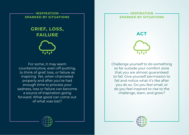## **GRIEF, LOSS, FAILURE**

For some, it may seem counterintuitive, even off-putting, to think of grief, loss, or failure as inspiring. Yet, when channeled properly and after you've had enough time to process your sadness, loss or failure can become a source of inspiration going forward. What good can come out of what was lost?

#### **INSPIRATION SPARKED BY SITUATIONS**

**ACT**

Challenge yourself to do something so far outside your comfort zone that you are almost guaranteed to fail. Give yourself permission to fail and notice what it's like after you do so. Do you feel small, or do you feel inspired to rise to the challenge, learn, and grow?



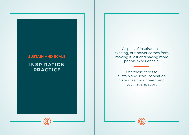## **SUSTAIN AND SCALE INSPIRATION PRACTICE**

A spark of inspiration is exciting, but power comes from making it last and having more people experience it.

Use these cards to sustain and scale inspiration for yourself, your team, and your organization.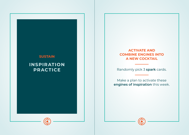

## **ACTIVATE AND COMBINE ENGINES INTO A NEW COCKTAIL**

Randomly pick 3 **spark** cards.

Make a plan to activate these **engines of inspiration** this week.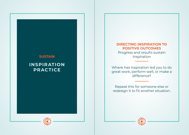## **SUSTAIN INSPIRATION PRACTICE**

## **DIRECTING INSPIRATION TO POSITIVE OUTCOMES**

Progress and results sustain inspiration

Where has inspiration led you to do great work, perform well, or make a difference?

Repeat this for someone else or redesign it to fit another situation.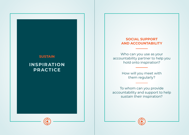## **SUSTAIN INSPIRATION PRACTICE**

## **SOCIAL SUPPORT AND ACCOUNTABILITY**

Who can you use as your accountability partner to help you hold onto inspiration?

> How will you meet with them regularly?

To whom can you provide accountability and support to help sustain their inspiration?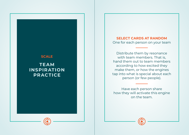## **SCALE TEAM INSPIRATION PRACTICE**

**SELECT CARDS AT RANDOM** One for each person on your team

Distribute them by resonance with team members. That is, hand them out to team members according to how excited they make them, or how the engines tap into what is special about each person (or few people).

Have each person share how they will activate this engine on the team.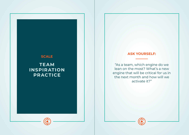## **SCALE TEAM INSPIRATION PRACTICE**

### **ASK YOURSELF:**

"As a team, which engine do we lean on the most? What's a new engine that will be critical for us in the next month and how will we activate it?"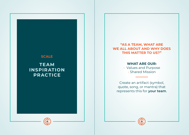## **SCALE TEAM INSPIRATION PRACTICE**

## **"AS A TEAM, WHAT ARE WE ALL ABOUT AND WHY DOES THIS MATTER TO US?"**

#### **WHAT ARE OUR:**

- Values and Purpose - Shared Mission

Create an artifact (symbol, quote, song, or mantra) that represents this for **your team** .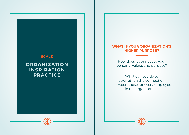## **SCALE**

## **ORGANIZATION INSPIRATION PRACTICE**

#### **WHAT IS YOUR ORGANIZATION'S HIGHER PURPOSE?**

How does it connect to your personal values and purpose?

What can you do to strengthen the connection between these for every employee in the organization?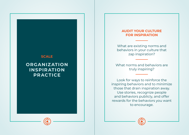## **SCALE**

## **ORGANIZATION INSPIRATION PRACTICE**

## **AUDIT YOUR CULTURE FOR INSPIRATION**

What are existing norms and behaviors in your culture that zap inspiration?

What norms and behaviors are truly inspiring?

Look for ways to reinforce the inspiring behaviors and to minimize those that drain inspiration away. Use stories, recognize people and behaviors publicly, and offer rewards for the behaviors you want to encourage.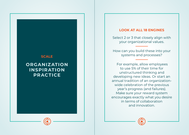## **SCALE**

## **ORGANIZATION INSPIRATION PRACTICE**

### **LOOK AT ALL 18 ENGINES**

Select 2 or 3 that closely align with your organizational values.

How can you build these into your systems and processes?

 For example, allow employees to use 5% of their time for unstructured thinking and developing new ideas. Or start an annual tradition of an organizationwide celebration of the previous year's progress (and failures). Make sure your reward system encourages exactly what you desire in terms of collaboration and innovation.